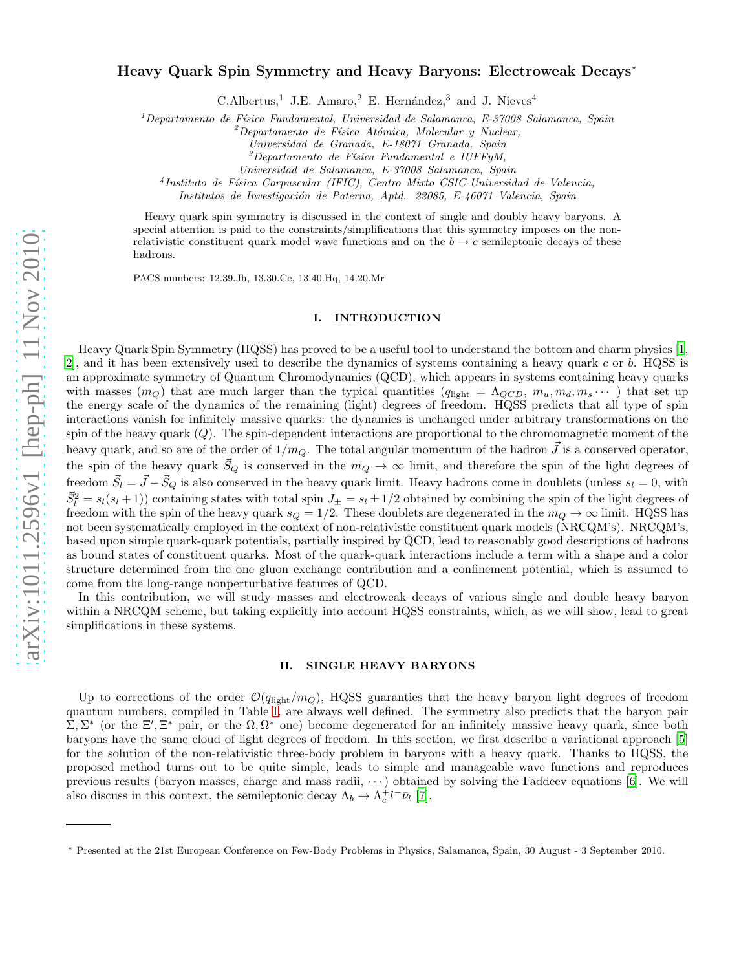# Heavy Quark Spin Symmetry and Heavy Baryons: Electroweak Decays<sup>∗</sup>

C.Albertus,<sup>1</sup> J.E. Amaro,<sup>2</sup> E. Hernández,<sup>3</sup> and J. Nieves<sup>4</sup>

 $1$ Departamento de Física Fundamental, Universidad de Salamanca, E-37008 Salamanca, Spain

 ${}^{2}$ Departamento de Física Atómica, Molecular y Nuclear,

Universidad de Granada, E-18071 Granada, Spain

 $3$ Departamento de Física Fundamental e IUFFyM,

Universidad de Salamanca, E-37008 Salamanca, Spain

<sup>4</sup>Instituto de Física Corpuscular (IFIC), Centro Mixto CSIC-Universidad de Valencia,

Institutos de Investigación de Paterna, Aptd. 22085, E-46071 Valencia, Spain

Heavy quark spin symmetry is discussed in the context of single and doubly heavy baryons. A special attention is paid to the constraints/simplifications that this symmetry imposes on the nonrelativistic constituent quark model wave functions and on the  $b \rightarrow c$  semileptonic decays of these hadrons.

PACS numbers: 12.39.Jh, 13.30.Ce, 13.40.Hq, 14.20.Mr

## I. INTRODUCTION

Heavy Quark Spin Symmetry (HQSS) has proved to be a useful tool to understand the bottom and charm physics [\[1](#page-5-0), [2](#page-5-1)], and it has been extensively used to describe the dynamics of systems containing a heavy quark  $c$  or  $b$ . HQSS is an approximate symmetry of Quantum Chromodynamics (QCD), which appears in systems containing heavy quarks with masses  $(m_Q)$  that are much larger than the typical quantities  $(q_{\text{light}} = \Lambda_{QCD}, m_u, m_d, m_s \cdots)$  that set up the energy scale of the dynamics of the remaining (light) degrees of freedom. HQSS predicts that all type of spin interactions vanish for infinitely massive quarks: the dynamics is unchanged under arbitrary transformations on the spin of the heavy quark  $(Q)$ . The spin-dependent interactions are proportional to the chromomagnetic moment of the heavy quark, and so are of the order of  $1/m_Q$ . The total angular momentum of the hadron  $\vec{J}$  is a conserved operator, the spin of the heavy quark  $\vec{S}_Q$  is conserved in the  $m_Q \to \infty$  limit, and therefore the spin of the light degrees of freedom  $\vec{S}_l = \vec{J} - \vec{S}_Q$  is also conserved in the heavy quark limit. Heavy hadrons come in doublets (unless  $s_l = 0$ , with  $\vec{S}_l^2 = s_l(s_l+1)$  containing states with total spin  $J_{\pm} = s_l \pm 1/2$  obtained by combining the spin of the light degrees of freedom with the spin of the heavy quark  $s_Q = 1/2$ . These doublets are degenerated in the  $m_Q \to \infty$  limit. HQSS has not been systematically employed in the context of non-relativistic constituent quark models (NRCQM's). NRCQM's, based upon simple quark-quark potentials, partially inspired by QCD, lead to reasonably good descriptions of hadrons as bound states of constituent quarks. Most of the quark-quark interactions include a term with a shape and a color structure determined from the one gluon exchange contribution and a confinement potential, which is assumed to come from the long-range nonperturbative features of QCD.

In this contribution, we will study masses and electroweak decays of various single and double heavy baryon within a NRCQM scheme, but taking explicitly into account HQSS constraints, which, as we will show, lead to great simplifications in these systems.

## II. SINGLE HEAVY BARYONS

Up to corrections of the order  $\mathcal{O}(q_{\rm light}/m_Q)$ , HQSS guaranties that the heavy baryon light degrees of freedom quantum numbers, compiled in Table [I,](#page-1-0) are always well defined. The symmetry also predicts that the baryon pair  $\Sigma$ ,  $\Sigma^*$  (or the  $\Sigma'$ ,  $\Xi^*$  pair, or the  $\Omega$ ,  $\Omega^*$  one) become degenerated for an infinitely massive heavy quark, since both baryons have the same cloud of light degrees of freedom. In this section, we first describe a variational approach [\[5](#page-6-0)] for the solution of the non-relativistic three-body problem in baryons with a heavy quark. Thanks to HQSS, the proposed method turns out to be quite simple, leads to simple and manageable wave functions and reproduces previous results (baryon masses, charge and mass radii,  $\cdots$ ) obtained by solving the Faddeev equations [\[6\]](#page-6-1). We will also discuss in this context, the semileptonic decay  $\Lambda_b \to \Lambda_c^+ l^- \bar{\nu}_l$  [\[7](#page-6-2)].

<sup>∗</sup> Presented at the 21st European Conference on Few-Body Problems in Physics, Salamanca, Spain, 30 August - 3 September 2010.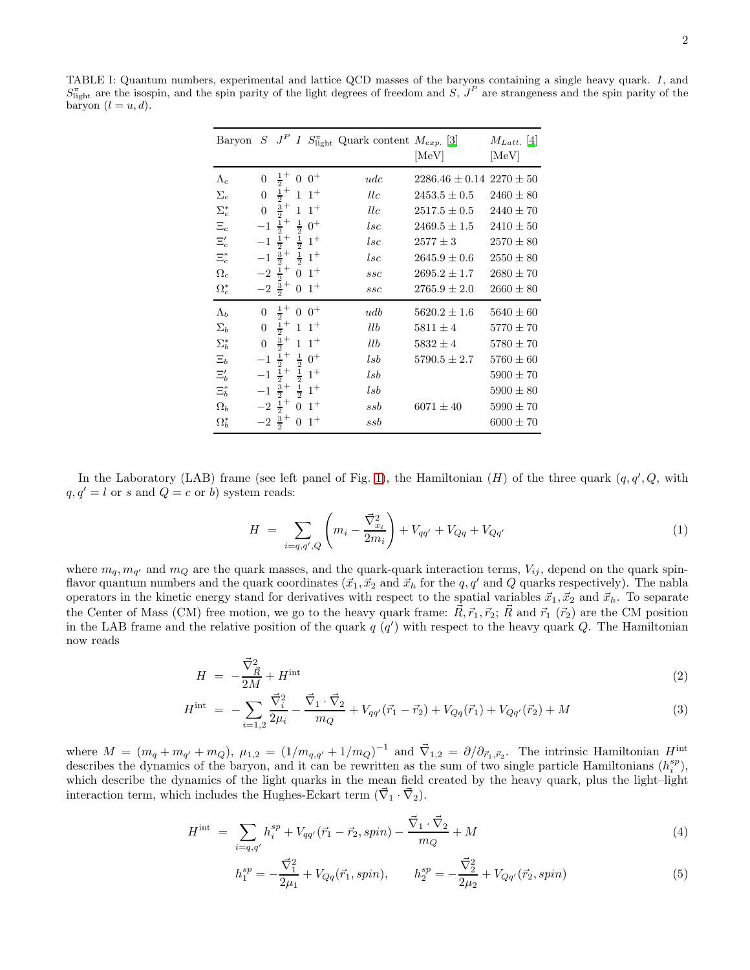<span id="page-1-0"></span>TABLE I: Quantum numbers, experimental and lattice QCD masses of the baryons containing a single heavy quark. I, and  $S_{\text{light}}^{\pi}$  are the isospin, and the spin parity of the light degrees of freedom and S,  $J^{P}$  are strangeness and the spin parity of the baryon  $(l = u, d)$ .

| Baryon $S$ $J^P$ |                |                              | $\boldsymbol{I}$           |            | $S_{\text{light}}^{\pi}$ Quark content $M_{exp.}$ [3] | $ \mathrm{MeV} $                 | $M_{Latt.}$ [4]<br>[MeV] |
|------------------|----------------|------------------------------|----------------------------|------------|-------------------------------------------------------|----------------------------------|--------------------------|
|                  |                |                              |                            |            |                                                       |                                  |                          |
| $\Lambda_c$      | $\overline{0}$ | $rac{1}{2}$                  | $\overline{0}$             | $0^+$      | udc                                                   | $2286.46 \pm 0.14$ $2270 \pm 50$ |                          |
| $\Sigma_c$       | $\overline{0}$ | $rac{1}{2}$                  |                            | $1 \; 1^+$ | llc                                                   | $2453.5 \pm 0.5$                 | $2460 \pm 80$            |
| $\Sigma_c^*$     | $\overline{0}$ | $\frac{3}{2}$                | $\mathbf{1}$               | $1^+$      | llc                                                   | $2517.5 \pm 0.5$                 | $2440 \pm 70$            |
| $\Xi_c$          | $^{-1}$        | $\frac{1}{2}$ +              | $\frac{1}{2}$              | $0^+$      | $_{lsc}$                                              | $2469.5 \pm 1.5$                 | $2410 \pm 50$            |
| $\Xi_c'$         | $-1$           | $\frac{1}{2}$ +              | $rac{1}{2}$<br>$rac{1}{2}$ | $1^+$      | $_{lsc}$                                              | $2577 \pm 3$                     | $2570 \pm 80$            |
| $\Xi_c^*$        |                | $-1\frac{5}{2}$ <sup>+</sup> |                            | $1^+$      | $_{lsc}$                                              | $2645.9 \pm 0.6$                 | $2550 \pm 80$            |
| $\Omega_c$       | $-2$           | $rac{1}{2}$ +                | $\boldsymbol{0}$           | $1^+$      | ssc                                                   | $2695.2 \pm 1.7$                 | $2680 \pm 70$            |
| $\Omega_c^*$     |                | $-2\frac{3}{2}$ <sup>+</sup> | $\boldsymbol{0}$           | $1^+$      | ssc                                                   | $2765.9 \pm 2.0$                 | $2660 \pm 80$            |
| $\Lambda_b$      | $\theta$       | $rac{1}{2}$                  | $\boldsymbol{0}$           | $0^+$      | udb                                                   | $5620.2 \pm 1.6$                 | $5640 \pm 60$            |
| $\Sigma_b$       | $\overline{0}$ | $\frac{1}{2}$ +              |                            | $1 \; 1^+$ | $_{llb}$                                              | $5811 \pm 4$                     | $5770 \pm 70$            |
| $\Sigma_{b}^{*}$ | $\overline{0}$ | $rac{3}{2}$                  | $\mathbf{1}$               | $1^+$      | $_{llb}$                                              | $5832 \pm 4$                     | $5780 \pm 70$            |
| $\Xi_b$          | $^{-1}$        | $\frac{1}{2}$ +              | $\frac{1}{2}$              | $0^+$      | lsb                                                   | $5790.5 \pm 2.7$                 | $5760 \pm 60$            |
| $\Xi_b'$         | $^{-1}$        | $rac{1}{2}$                  | $\frac{1}{2}$              | $1^+$      | $_{lsb}$                                              |                                  | $5900 \pm 70$            |
| $\Xi_b^*$        |                | $-1\frac{3}{2}$ <sup>+</sup> | $\frac{1}{2}$              | $1^+$      | lsb                                                   |                                  | $5900 \pm 80$            |
| $\Omega_b$       |                | $-2\frac{1}{2}$ <sup>+</sup> | $\boldsymbol{0}$           | $1^+$      | $_{ssb}$                                              | $6071 \pm 40$                    | $5990 \pm 70$            |
| $\Omega_b^*$     |                | $-2\frac{3}{2}$ <sup>+</sup> | $\boldsymbol{0}$           | $1^+$      | $_{ssb}$                                              |                                  | $6000 \pm 70$            |

In the Laboratory (LAB) frame (see left panel of Fig. [1\)](#page-2-0), the Hamiltonian  $(H)$  of the three quark  $(q, q', Q, \text{ with})$  $q, q' = l$  or s and  $Q = c$  or b) system reads:

$$
H = \sum_{i=q,q',Q} \left( m_i - \frac{\vec{\nabla}_{x_i}^2}{2m_i} \right) + V_{qq'} + V_{Qq} + V_{Qq'} \tag{1}
$$

where  $m_q, m_{q'}$  and  $m_Q$  are the quark masses, and the quark-quark interaction terms,  $V_{ij}$ , depend on the quark spinflavor quantum numbers and the quark coordinates  $(\vec{x}_1, \vec{x}_2)$  and  $\vec{x}_h$  for the q, q' and Q quarks respectively). The nabla operators in the kinetic energy stand for derivatives with respect to the spatial variables  $\vec{x}_1, \vec{x}_2$  and  $\vec{x}_h$ . To separate the Center of Mass (CM) free motion, we go to the heavy quark frame:  $\vec{R}, \vec{r}_1, \vec{r}_2$ ;  $\vec{R}$  and  $\vec{r}_1$  ( $\vec{r}_2$ ) are the CM position in the LAB frame and the relative position of the quark  $q(q')$  with respect to the heavy quark Q. The Hamiltonian now reads

$$
H = -\frac{\vec{\nabla}_{\vec{R}}^2}{2M} + H^{\text{int}} \tag{2}
$$

$$
H^{\text{int}} = -\sum_{i=1,2} \frac{\vec{\nabla}_{i}^{2}}{2\mu_{i}} - \frac{\vec{\nabla}_{1} \cdot \vec{\nabla}_{2}}{m_{Q}} + V_{qq'}(\vec{r}_{1} - \vec{r}_{2}) + V_{Qq}(\vec{r}_{1}) + V_{Qq'}(\vec{r}_{2}) + M \tag{3}
$$

where  $M = (m_q + m_{q'} + m_Q)$ ,  $\mu_{1,2} = (1/m_{q,q'} + 1/m_Q)^{-1}$  and  $\vec{\nabla}_{1,2} = \partial/\partial_{\vec{r}_1,\vec{r}_2}$ . The intrinsic Hamiltonian  $H^{\text{int}}$ describes the dynamics of the baryon, and it can be rewritten as the sum of two single particle Hamiltonians  $(h_i^{sp})$ , which describe the dynamics of the light quarks in the mean field created by the heavy quark, plus the light–light interaction term, which includes the Hughes-Eckart term  $(\vec{\nabla}_1 \cdot \vec{\nabla}_2)$ .

<span id="page-1-1"></span>
$$
H^{\text{int}} = \sum_{i=q,q'} h_i^{sp} + V_{qq'}(\vec{r}_1 - \vec{r}_2, spin) - \frac{\vec{\nabla}_1 \cdot \vec{\nabla}_2}{m_Q} + M \tag{4}
$$

$$
h_1^{sp} = -\frac{\vec{\nabla}_1^2}{2\mu_1} + V_{Qq}(\vec{r}_1, spin), \qquad h_2^{sp} = -\frac{\vec{\nabla}_2^2}{2\mu_2} + V_{Qq'}(\vec{r}_2, spin) \tag{5}
$$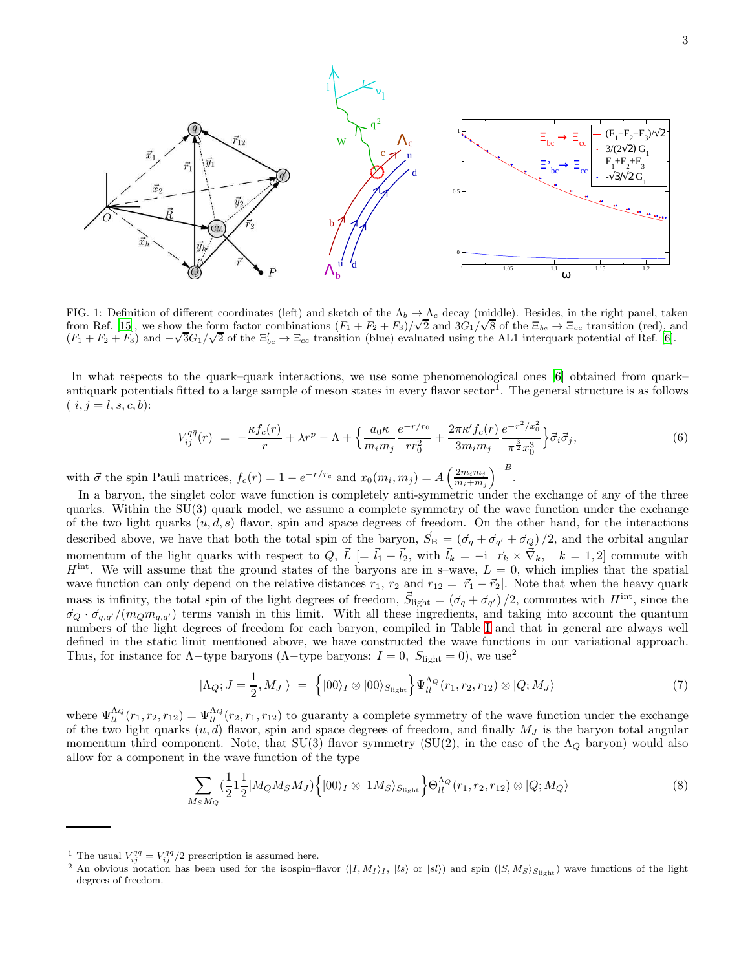

<span id="page-2-0"></span>FIG. 1: Definition of different coordinates (left) and sketch of the  $\Lambda_b \to \Lambda_c$  decay (middle). Besides, in the right panel, taken from Ref. [\[15](#page-6-5)], we show the form factor combinations  $(F_1 + F_2 + F_3)/\sqrt{2}$  and  $3G_1/\sqrt{8}$  of the  $\Xi_{bc} \to \Xi_{cc}$  transition (red), and (F<sub>1</sub> + F<sub>2</sub> + F<sub>3</sub>) and  $-\sqrt{3}G_1/\sqrt{2}$  of the  $\Xi'_{bc} \to \Xi_{cc}$  transition (blue) evaluated using the AL1 interquark potential of Ref. [\[6](#page-6-1)].

In what respects to the quark–quark interactions, we use some phenomenological ones [\[6](#page-6-1)] obtained from quark– antiquark potentials fitted to a large sample of meson states in every flavor sector<sup>1</sup>. The general structure is as follows  $(i, j = l, s, c, b)$ :

<span id="page-2-3"></span>
$$
V_{ij}^{q\bar{q}}(r) = -\frac{\kappa f_c(r)}{r} + \lambda r^p - \Lambda + \left\{ \frac{a_0 \kappa}{m_i m_j} \frac{e^{-r/r_0}}{r r_0^2} + \frac{2\pi \kappa' f_c(r)}{3m_i m_j} \frac{e^{-r^2/x_0^2}}{\pi^{\frac{3}{2}} x_0^3} \right\} \vec{\sigma}_i \vec{\sigma}_j,
$$
(6)

with  $\vec{\sigma}$  the spin Pauli matrices,  $f_c(r) = 1 - e^{-r/r_c}$  and  $x_0(m_i, m_j) = A\left(\frac{2m_i m_j}{m_i + m_j}\right)$  $\frac{2m_i m_j}{m_i + m_j}$  $\Big)^{-B}$ .

In a baryon, the singlet color wave function is completely anti-symmetric under the exchange of any of the three quarks. Within the  $SU(3)$  quark model, we assume a complete symmetry of the wave function under the exchange of the two light quarks  $(u, d, s)$  flavor, spin and space degrees of freedom. On the other hand, for the interactions described above, we have that both the total spin of the baryon,  $\vec{S}_B = (\vec{\sigma}_q + \vec{\sigma}_{q'} + \vec{\sigma}_Q)/2$ , and the orbital angular momentum of the light quarks with respect to  $Q, \vec{L} \models \vec{l}_1 + \vec{l}_2$ , with  $\vec{l}_k = -i \vec{r}_k \times \vec{\nabla}_k$ ,  $k = 1, 2$  commute with  $H<sup>int</sup>$ . We will assume that the ground states of the baryons are in s-wave,  $L = 0$ , which implies that the spatial wave function can only depend on the relative distances  $r_1$ ,  $r_2$  and  $r_{12} = |\vec{r}_1 - \vec{r}_2|$ . Note that when the heavy quark mass is infinity, the total spin of the light degrees of freedom,  $\vec{S}_{\text{light}} = (\vec{\sigma}_q + \vec{\sigma}_{q'})/2$ , commutes with  $H^{\text{int}}$ , since the  $\vec{\sigma}_Q \cdot \vec{\sigma}_{q,q'}/(m_Q m_{q,q'})$  terms vanish in this limit. With all these ingredients, and taking into account the quantum numbers of the light degrees of freedom for each baryon, compiled in Table [I](#page-1-0) and that in general are always well defined in the static limit mentioned above, we have constructed the wave functions in our variational approach. Thus, for instance for  $\Lambda$ -type baryons ( $\Lambda$ -type baryons:  $I = 0$ ,  $S_{\text{light}} = 0$ ), we use<sup>2</sup>

<span id="page-2-1"></span>
$$
|\Lambda_Q; J = \frac{1}{2}, M_J \rangle = \left\{ |00\rangle_I \otimes |00\rangle_{S_{\text{light}}} \right\} \Psi_{ll}^{\Lambda_Q}(r_1, r_2, r_{12}) \otimes |Q; M_J\rangle \tag{7}
$$

where  $\Psi_{ll}^{\Lambda_Q}(r_1, r_2, r_{12}) = \Psi_{ll}^{\Lambda_Q}(r_2, r_1, r_{12})$  to guaranty a complete symmetry of the wave function under the exchange of the two light quarks  $(u, d)$  flavor, spin and space degrees of freedom, and finally  $M_J$  is the baryon total angular momentum third component. Note, that SU(3) flavor symmetry (SU(2), in the case of the  $\Lambda_Q$  baryon) would also allow for a component in the wave function of the type

<span id="page-2-2"></span>
$$
\sum_{M_S M_Q} \left(\frac{1}{2} 1 \frac{1}{2} |M_Q M_S M_J\rangle \left\{ |00\rangle_I \otimes |1 M_S\rangle_{S_{\text{light}}} \right\} \Theta_{ll}^{\Lambda_Q}(r_1, r_2, r_{12}) \otimes |Q; M_Q\rangle \tag{8}
$$

<sup>&</sup>lt;sup>1</sup> The usual  $V_{ij}^{qq} = V_{ij}^{q\bar{q}}/2$  prescription is assumed here.

<sup>&</sup>lt;sup>2</sup> An obvious notation has been used for the isospin–flavor  $(|I, M_I\rangle_I, |ls\rangle$  or  $|sl\rangle$ ) and spin  $(|S, M_S\rangle_{S_{\text{light}}})$  wave functions of the light degrees of freedom.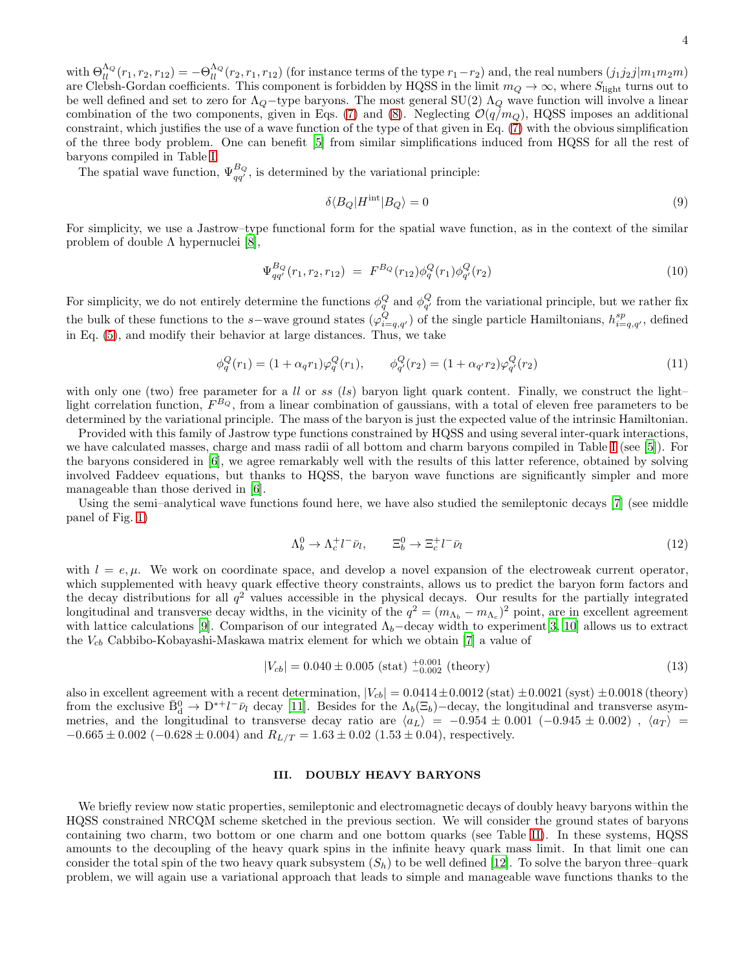with  $\Theta_{ll}^{\Lambda_Q}(r_1, r_2, r_{12}) = -\Theta_{ll}^{\Lambda_Q}(r_2, r_1, r_{12})$  (for instance terms of the type  $r_1-r_2$ ) and, the real numbers  $(j_1j_2j|m_1m_2m)$ are Clebsh-Gordan coefficients. This component is forbidden by HQSS in the limit  $m_Q \to \infty$ , where  $S_{\text{light}}$  turns out to be well defined and set to zero for  $\Lambda_Q$ -type baryons. The most general SU(2)  $\Lambda_Q$  wave function will involve a linear combination of the two components, given in Eqs. [\(7\)](#page-2-1) and [\(8\)](#page-2-2). Neglecting  $\mathcal{O}(q/m_Q)$ , HQSS imposes an additional constraint, which justifies the use of a wave function of the type of that given in Eq. [\(7\)](#page-2-1) with the obvious simplification of the three body problem. One can benefit [\[5\]](#page-6-0) from similar simplifications induced from HQSS for all the rest of baryons compiled in Table [I.](#page-1-0)

The spatial wave function,  $\Psi_{qq'}^{B_Q}$ , is determined by the variational principle:

$$
\delta \langle B_Q | H^{\text{int}} | B_Q \rangle = 0 \tag{9}
$$

For simplicity, we use a Jastrow–type functional form for the spatial wave function, as in the context of the similar problem of double  $\Lambda$  hypernuclei [\[8](#page-6-6)],

$$
\Psi_{qq'}^{B_Q}(r_1, r_2, r_{12}) = F^{B_Q}(r_{12}) \phi_q^Q(r_1) \phi_{q'}^Q(r_2)
$$
\n(10)

For simplicity, we do not entirely determine the functions  $\phi_q^Q$  and  $\phi_{q'}^Q$  from the variational principle, but we rather fix the bulk of these functions to the s–wave ground states  $(\varphi_{i=q,q'}^Q)$  of the single particle Hamiltonians,  $h_{i=q,q'}^{sp}$ , defined in Eq. [\(5\)](#page-1-1), and modify their behavior at large distances. Thus, we take

$$
\phi_q^Q(r_1) = (1 + \alpha_q r_1) \varphi_q^Q(r_1), \qquad \phi_{q'}^Q(r_2) = (1 + \alpha_{q'} r_2) \varphi_{q'}^Q(r_2)
$$
\n(11)

with only one (two) free parameter for a ll or ss  $(ls)$  baryon light quark content. Finally, we construct the light– light correlation function,  $F^{B_Q}$ , from a linear combination of gaussians, with a total of eleven free parameters to be determined by the variational principle. The mass of the baryon is just the expected value of the intrinsic Hamiltonian.

Provided with this family of Jastrow type functions constrained by HQSS and using several inter-quark interactions, we have calculated masses, charge and mass radii of all bottom and charm baryons compiled in Table [I](#page-1-0) (see [\[5\]](#page-6-0)). For the baryons considered in [\[6\]](#page-6-1), we agree remarkably well with the results of this latter reference, obtained by solving involved Faddeev equations, but thanks to HQSS, the baryon wave functions are significantly simpler and more manageable than those derived in [\[6\]](#page-6-1).

Using the semi–analytical wave functions found here, we have also studied the semileptonic decays [\[7\]](#page-6-2) (see middle panel of Fig. [1\)](#page-2-0)

$$
\Lambda_b^0 \to \Lambda_c^+ l^- \bar{\nu}_l, \qquad \Xi_b^0 \to \Xi_c^+ l^- \bar{\nu}_l \tag{12}
$$

with  $l = e, \mu$ . We work on coordinate space, and develop a novel expansion of the electroweak current operator, which supplemented with heavy quark effective theory constraints, allows us to predict the baryon form factors and the decay distributions for all  $q^2$  values accessible in the physical decays. Our results for the partially integrated longitudinal and transverse decay widths, in the vicinity of the  $q^2 = (m_{\Lambda_b} - m_{\Lambda_c})^2$  point, are in excellent agreement with lattice calculations [\[9](#page-6-7)]. Comparison of our integrated  $\Lambda_b$ -decay width to experiment[\[3](#page-6-3), [10\]](#page-6-8) allows us to extract the  $V_{cb}$  Cabbibo-Kobayashi-Maskawa matrix element for which we obtain [\[7\]](#page-6-2) a value of

$$
|V_{cb}| = 0.040 \pm 0.005 \text{ (stat)} \, ^{+0.001}_{-0.002} \text{ (theory)} \tag{13}
$$

also in excellent agreement with a recent determination,  $|V_{cb}| = 0.0414 \pm 0.0012$  (stat)  $\pm 0.0021$  (syst)  $\pm 0.0018$  (theory) from the exclusive  $\bar{B}_d^0 \to D^* + l^- \bar{\nu}_l$  decay [\[11\]](#page-6-9). Besides for the  $\Lambda_b(\Xi_b)$  decay, the longitudinal and transverse asymmetries, and the longitudinal to transverse decay ratio are  $\langle a_L \rangle = -0.954 \pm 0.001$  (-0.945  $\pm$  0.002),  $\langle a_T \rangle$  =  $-0.665 \pm 0.002$  ( $-0.628 \pm 0.004$ ) and  $R_{L/T} = 1.63 \pm 0.02$  ( $1.53 \pm 0.04$ ), respectively.

## III. DOUBLY HEAVY BARYONS

We briefly review now static properties, semileptonic and electromagnetic decays of doubly heavy baryons within the HQSS constrained NRCQM scheme sketched in the previous section. We will consider the ground states of baryons containing two charm, two bottom or one charm and one bottom quarks (see Table [II\)](#page-4-0). In these systems, HQSS amounts to the decoupling of the heavy quark spins in the infinite heavy quark mass limit. In that limit one can consider the total spin of the two heavy quark subsystem  $(S_h)$  to be well defined [\[12](#page-6-10)]. To solve the baryon three–quark problem, we will again use a variational approach that leads to simple and manageable wave functions thanks to the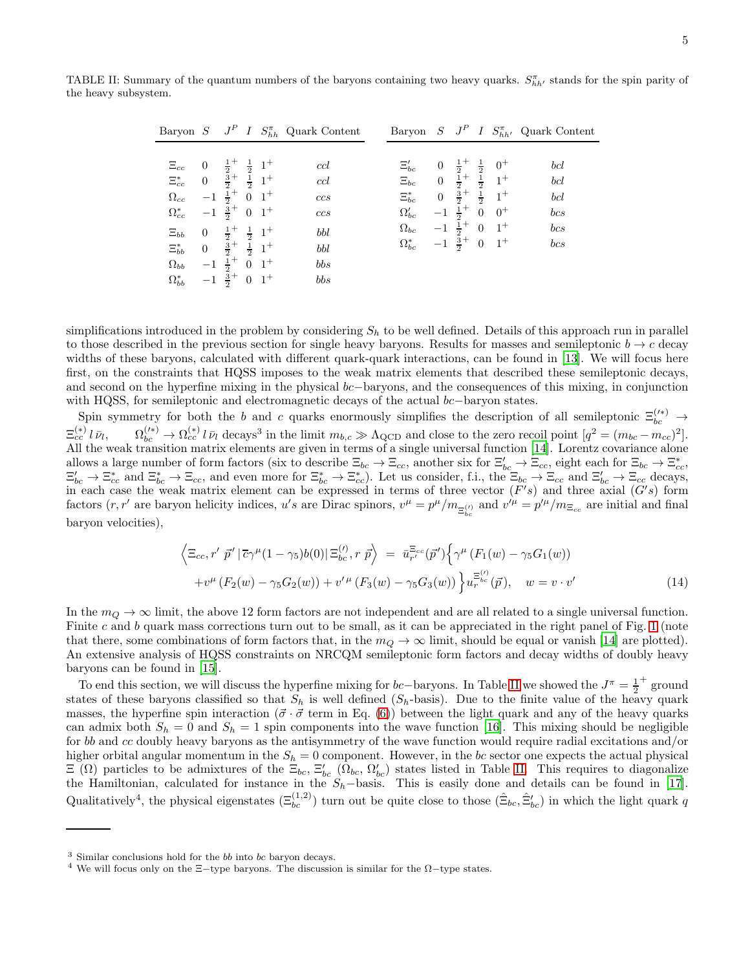TABLE II: Summary of the quantum numbers of the baryons containing two heavy quarks.  $S_{hh'}^{\pi}$  stands for the spin parity of the heavy subsystem.

<span id="page-4-0"></span>

|                                                                                                                                        |                                                                                                                                                                                                                |                                                                                                                                  |  | Baryon $S$ $J^P$ I $S_{hh}^{\pi}$ Quark Content        |                                                                                                 |                                                                                    |                              |                |                                                                                                                                                                                    | Baryon $S$ $J^P$ I $S_{hh'}^{\pi}$ Quark Content |
|----------------------------------------------------------------------------------------------------------------------------------------|----------------------------------------------------------------------------------------------------------------------------------------------------------------------------------------------------------------|----------------------------------------------------------------------------------------------------------------------------------|--|--------------------------------------------------------|-------------------------------------------------------------------------------------------------|------------------------------------------------------------------------------------|------------------------------|----------------|------------------------------------------------------------------------------------------------------------------------------------------------------------------------------------|--------------------------------------------------|
| $\Xi_{cc}$<br>$\Xi_{cc}^{*}$<br>$\Omega_{cc}$<br>$\Omega_{cc}^{*}$<br>$\Xi_{bb}$<br>$\Xi^*_{bb}$<br>$\Omega_{bb}$<br>$\Omega_{bb}^{*}$ | 0 $\frac{1}{2}$ $\frac{1}{2}$ $1$ $\frac{1}{2}$<br>0 $\frac{2}{2}$ + $\frac{2}{2}$ 1 <sup>+</sup><br>$-1$ $\frac{1}{2}$ + 0 1 <sup>+</sup><br>$\overline{0}$<br>0 $\frac{3}{2}$ + $\frac{1}{2}$ 1 <sup>+</sup> | $-1$ $\frac{3}{2}$ + 0 $1$ +<br>$\frac{1}{2}$ + $\frac{1}{2}$ 1+<br>$-1$ $\frac{1}{2}$ + 0 $1$ +<br>$-1$ $\frac{3}{2}$ + 0 $1$ + |  | ccl<br>ccl<br>ccs<br>$ccs$<br>bbl<br>bbl<br>bbs<br>bbs | $\Xi_{bc}'$<br>$\Xi_{bc}$<br>$\Xi^*_{bc}$<br>$\Omega_{bc}'$<br>$\Omega_{bc}$<br>$\Omega_{bc}^*$ | $\overline{0}$<br>$\overline{0}$<br>$\overline{0}$<br>$-1\frac{1}{2}$ <sup>+</sup> | $-1$ $\frac{3}{2}$ + 0 $1$ + | $\overline{0}$ | $\begin{matrix} \frac{1}{2} + & \frac{1}{2} & 0^+ \\ \frac{1}{2} + & \frac{1}{2} & 1^+ \\ \frac{3}{2} + & \frac{1}{2} & 1^+ \end{matrix}$<br>$0^+$<br>$-1$ $\frac{1}{2}$ + 0 $1$ + | bcl<br>bcl<br>bcl<br>bcs<br>bcs<br>bcs           |

simplifications introduced in the problem by considering  $S<sub>h</sub>$  to be well defined. Details of this approach run in parallel to those described in the previous section for single heavy baryons. Results for masses and semileptonic  $b \to c$  decay widths of these baryons, calculated with different quark-quark interactions, can be found in [\[13\]](#page-6-11). We will focus here first, on the constraints that HQSS imposes to the weak matrix elements that described these semileptonic decays, and second on the hyperfine mixing in the physical bc−baryons, and the consequences of this mixing, in conjunction with HQSS, for semileptonic and electromagnetic decays of the actual bc−baryon states.

Spin symmetry for both the b and c quarks enormously simplifies the description of all semileptonic  $\Xi_{bc}^{(\prime\ast)}$   $\rightarrow$  $\Xi_{cc}^{(*)}$  l  $\bar{\nu}_l$  $\Omega_{bc}^{(\prime*)} \to \Omega_{cc}^{(*)} l \bar{\nu}_l$  decays<sup>3</sup> in the limit  $m_{b,c} \gg \Lambda_{\rm QCD}$  and close to the zero recoil point  $[q^2 = (m_{bc} - m_{cc})^2]$ . All the weak transition matrix elements are given in terms of a single universal function [\[14](#page-6-12)]. Lorentz covariance alone allows a large number of form factors (six to describe  $\Xi_{bc} \to \Xi_{cc}$ , another six for  $\Xi'_{bc} \to \Xi_{cc}$ , eight each for  $\Xi_{bc} \to \Xi^*_{cc}$ ,  $\Xi'_{bc} \to \Xi_{cc}^*$  and  $\Xi_{bc}^* \to \Xi_{cc}$ , and even more for  $\Xi_{bc}^* \to \Xi_{cc}^*$ ). Let us consider, f.i., the  $\Xi_{bc} \to \Xi_{cc}$  and  $\Xi'_{bc} \to \Xi_{cc}$  decays, in each case the weak matrix element can be expressed in terms of three vector  $(F's)$  and three axial  $(G's)$  form factors  $(r, r')$  are baryon helicity indices, u's are Dirac spinors,  $v^{\mu} = p^{\mu}/m_{\Xi_{bc}^{(\prime)}}$  and  $v^{\mu} = p'^{\mu}/m_{\Xi_{cc}}$  are initial and final baryon velocities),

$$
\left\langle \Xi_{cc}, r' \ \vec{p}' \, | \, \overline{c} \gamma^{\mu} (1 - \gamma_5) b(0) \, | \, \Xi_{bc}^{(l)}, r \ \vec{p} \right\rangle \ = \ \bar{u}_{r'}^{\Xi_{cc}}(\vec{p}') \left\{ \gamma^{\mu} \left( F_1(w) - \gamma_5 G_1(w) \right) \right. \\
\left. + v^{\mu} \left( F_2(w) - \gamma_5 G_2(w) \right) + v'^{\mu} \left( F_3(w) - \gamma_5 G_3(w) \right) \right\} u_r^{\Xi_{bc}^{(l)}}(\vec{p}), \quad w = v \cdot v' \tag{14}
$$

In the  $m_Q \to \infty$  limit, the above 12 form factors are not independent and are all related to a single universal function. Finite c and b quark mass corrections turn out to be small, as it can be appreciated in the right panel of Fig. [1](#page-2-0) (note that there, some combinations of form factors that, in the  $m_Q \to \infty$  limit, should be equal or vanish [\[14\]](#page-6-12) are plotted). An extensive analysis of HQSS constraints on NRCQM semileptonic form factors and decay widths of doubly heavy baryons can be found in [\[15](#page-6-5)].

To end this section, we will discuss the hyperfine mixing for bc−baryons. In Table [II](#page-4-0) we showed the  $J^{\pi} = \frac{1}{2}$ + ground states of these baryons classified so that  $S_h$  is well defined  $(S_h$ -basis). Due to the finite value of the heavy quark masses, the hyperfine spin interaction ( $\vec{\sigma} \cdot \vec{\sigma}$  term in Eq. [\(6\)](#page-2-3)) between the light quark and any of the heavy quarks can admix both  $S_h = 0$  and  $S_h = 1$  spin components into the wave function [\[16\]](#page-6-13). This mixing should be negligible for bb and cc doubly heavy baryons as the antisymmetry of the wave function would require radial excitations and/or higher orbital angular momentum in the  $S_h = 0$  component. However, in the bc sector one expects the actual physical  $\Xi(\Omega)$  particles to be admixtures of the  $\Xi_{bc}$ ,  $\Xi'_{bc}$  ( $\Omega_{bc}$ ,  $\Omega'_{bc}$ ) states listed in Table [II.](#page-4-0) This requires to diagonalize the Hamiltonian, calculated for instance in the  $S_h$ -basis. This is easily done and details can be found in [\[17\]](#page-6-14). Qualitatively<sup>4</sup>, the physical eigenstates  $(\Xi_{bc}^{(1,2)})$  turn out be quite close to those  $(\hat{\Xi}_{bc}, \hat{\Xi}_{bc}')$  in which the light quark q

<sup>&</sup>lt;sup>3</sup> Similar conclusions hold for the *bb* into *bc* baryon decays.

<sup>&</sup>lt;sup>4</sup> We will focus only on the  $\Xi$ −type baryons. The discussion is similar for the  $\Omega$ −type states.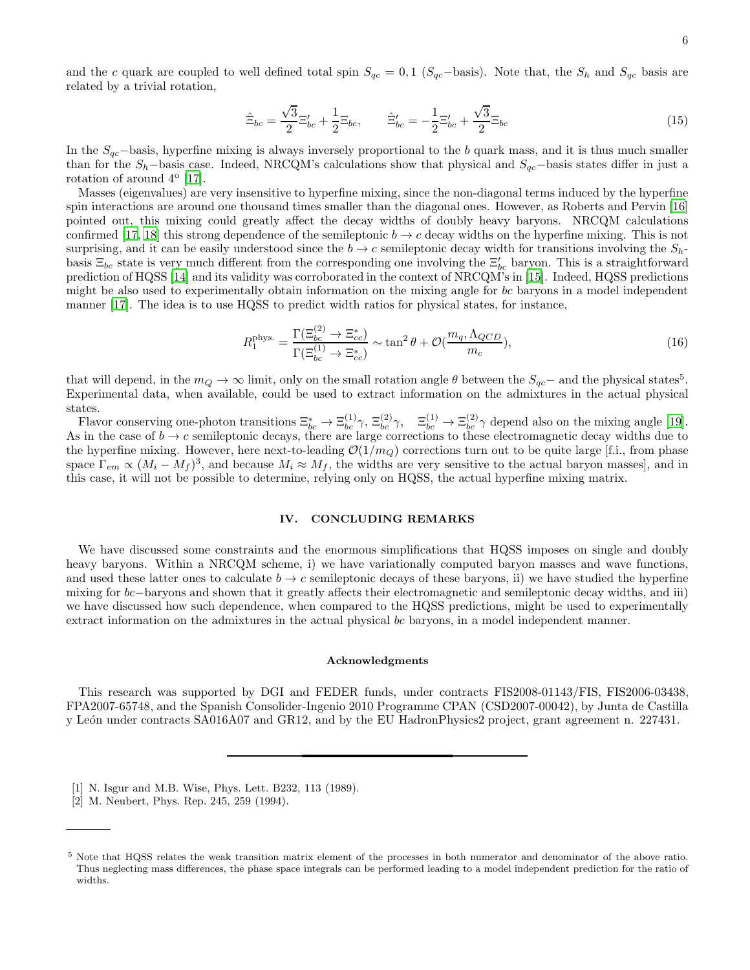and the c quark are coupled to well defined total spin  $S_{qc} = 0, 1$  ( $S_{qc}$ -basis). Note that, the  $S_h$  and  $S_{qc}$  basis are related by a trivial rotation,

$$
\hat{\Xi}_{bc} = \frac{\sqrt{3}}{2} \Xi'_{bc} + \frac{1}{2} \Xi_{bc}, \qquad \hat{\Xi}'_{bc} = -\frac{1}{2} \Xi'_{bc} + \frac{\sqrt{3}}{2} \Xi_{bc}
$$
\n(15)

In the  $S_{qc}$ −basis, hyperfine mixing is always inversely proportional to the b quark mass, and it is thus much smaller than for the  $S_h$ −basis case. Indeed, NRCQM's calculations show that physical and  $S_{ac}$ −basis states differ in just a rotation of around  $4^{\circ}$  [\[17\]](#page-6-14).

Masses (eigenvalues) are very insensitive to hyperfine mixing, since the non-diagonal terms induced by the hyperfine spin interactions are around one thousand times smaller than the diagonal ones. However, as Roberts and Pervin [\[16](#page-6-13)] pointed out, this mixing could greatly affect the decay widths of doubly heavy baryons. NRCQM calculations confirmed [\[17](#page-6-14), [18\]](#page-6-15) this strong dependence of the semileptonic  $b \to c$  decay widths on the hyperfine mixing. This is not surprising, and it can be easily understood since the  $b \to c$  semileptonic decay width for transitions involving the  $S_h$ basis  $\Xi_{bc}$  state is very much different from the corresponding one involving the  $\Xi'_{bc}$  baryon. This is a straightforward prediction of HQSS [\[14\]](#page-6-12) and its validity was corroborated in the context of NRCQM's in [\[15\]](#page-6-5). Indeed, HQSS predictions might be also used to experimentally obtain information on the mixing angle for bc baryons in a model independent manner [\[17\]](#page-6-14). The idea is to use HQSS to predict width ratios for physical states, for instance,

$$
R_1^{\text{phys.}} = \frac{\Gamma(\Xi_{bc}^{(2)} \to \Xi_{cc}^*)}{\Gamma(\Xi_{bc}^{(1)} \to \Xi_{cc}^*)} \sim \tan^2 \theta + \mathcal{O}(\frac{m_q, \Lambda_{QCD}}{m_c}),\tag{16}
$$

that will depend, in the  $m_Q \to \infty$  limit, only on the small rotation angle  $\theta$  between the  $S_{qc}$  and the physical states<sup>5</sup>. Experimental data, when available, could be used to extract information on the admixtures in the actual physical states.

Flavor conserving one-photon transitions  $\Xi_{bc}^* \to \Xi_{bc}^{(1)} \gamma$ ,  $\Xi_{bc}^{(2)} \gamma$ ,  $\Xi_{bc}^{(1)} \to \Xi_{bc}^{(2)} \gamma$  depend also on the mixing angle [\[19\]](#page-6-16). As in the case of  $b \to c$  semileptonic decays, there are large corrections to these electromagnetic decay widths due to the hyperfine mixing. However, here next-to-leading  $\mathcal{O}(1/m_Q)$  corrections turn out to be quite large [f.i., from phase space  $\Gamma_{em} \propto (M_i - M_f)^3$ , and because  $M_i \approx M_f$ , the widths are very sensitive to the actual baryon masses], and in this case, it will not be possible to determine, relying only on HQSS, the actual hyperfine mixing matrix.

## IV. CONCLUDING REMARKS

We have discussed some constraints and the enormous simplifications that HQSS imposes on single and doubly heavy baryons. Within a NRCQM scheme, i) we have variationally computed baryon masses and wave functions, and used these latter ones to calculate  $b \to c$  semileptonic decays of these baryons, ii) we have studied the hyperfine mixing for bc−baryons and shown that it greatly affects their electromagnetic and semileptonic decay widths, and iii) we have discussed how such dependence, when compared to the HQSS predictions, might be used to experimentally extract information on the admixtures in the actual physical bc baryons, in a model independent manner.

#### Acknowledgments

This research was supported by DGI and FEDER funds, under contracts FIS2008-01143/FIS, FIS2006-03438, FPA2007-65748, and the Spanish Consolider-Ingenio 2010 Programme CPAN (CSD2007-00042), by Junta de Castilla y León under contracts SA016A07 and GR12, and by the EU HadronPhysics2 project, grant agreement n. 227431.

- <span id="page-5-0"></span>[1] N. Isgur and M.B. Wise, Phys. Lett. B232, 113 (1989).
- <span id="page-5-1"></span>[2] M. Neubert, Phys. Rep. 245, 259 (1994).

<sup>5</sup> Note that HQSS relates the weak transition matrix element of the processes in both numerator and denominator of the above ratio. Thus neglecting mass differences, the phase space integrals can be performed leading to a model independent prediction for the ratio of widths.